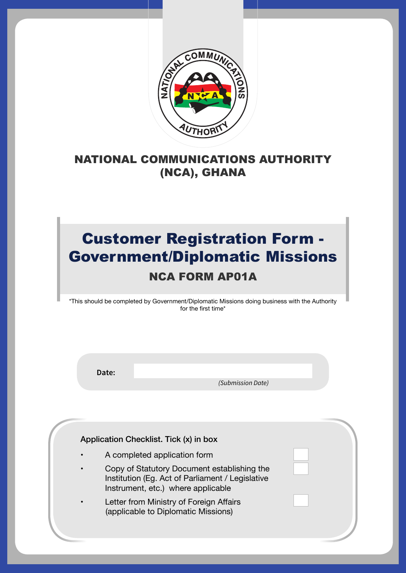

## NATIONAL COMMUNICATIONS AUTHORITY (NCA), GHANA

## Customer Registration Form - Government/Diplomatic Missions NCA FORM AP01A

\*This should be completed by Government/Diplomatic Missions doing business with the Authority for the first time\*

**Date:**

 *(Submission Date)*

Application Checklist. Tick (x) in box

- A completed application form
- Copy of Statutory Document establishing the Institution (Eg. Act of Parliament / Legislative Instrument, etc.) where applicable

NCA FORM AP01A -- 1

Letter from Ministry of Foreign Affairs (applicable to Diplomatic Missions)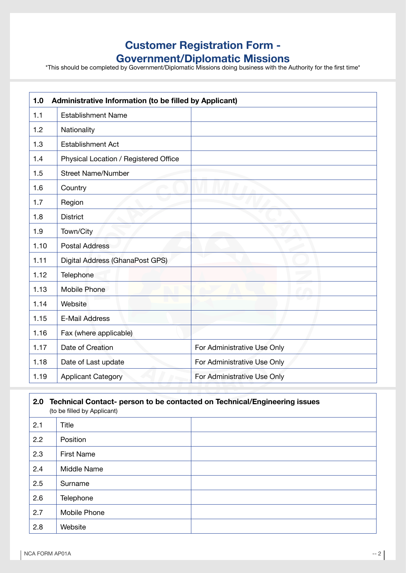## **Customer Registration Form -**

**Government/Diplomatic Missions**<br> **\*This should be completed by Government/Diplomatic Missions doing business with the Authority for the first time\*** 

| 1.0  | Administrative Information (to be filled by Applicant) |                             |  |
|------|--------------------------------------------------------|-----------------------------|--|
| 1.1  | <b>Establishment Name</b>                              |                             |  |
| 1.2  | Nationality                                            |                             |  |
| 1.3  | <b>Establishment Act</b>                               |                             |  |
| 1.4  | Physical Location / Registered Office                  |                             |  |
| 1.5  | <b>Street Name/Number</b>                              |                             |  |
| 1.6  | Country                                                |                             |  |
| 1.7  | Region                                                 |                             |  |
| 1.8  | <b>District</b>                                        |                             |  |
| 1.9  | Town/City                                              |                             |  |
| 1.10 | <b>Postal Address</b>                                  |                             |  |
| 1.11 | Digital Address (GhanaPost GPS)                        |                             |  |
| 1.12 | Telephone                                              |                             |  |
| 1.13 | Mobile Phone                                           |                             |  |
| 1.14 | Website                                                |                             |  |
| 1.15 | <b>E-Mail Address</b>                                  |                             |  |
| 1.16 | Fax (where applicable)                                 |                             |  |
| 1.17 | Date of Creation                                       | For Administrative Use Only |  |
| 1.18 | Date of Last update                                    | For Administrative Use Only |  |
| 1.19 | <b>Applicant Category</b>                              | For Administrative Use Only |  |

| 2.0<br>Technical Contact- person to be contacted on Technical/Engineering issues<br>(to be filled by Applicant) |                   |  |
|-----------------------------------------------------------------------------------------------------------------|-------------------|--|
| 2.1                                                                                                             | Title             |  |
| 2.2                                                                                                             | Position          |  |
| 2.3                                                                                                             | <b>First Name</b> |  |
| 2.4                                                                                                             | Middle Name       |  |
| 2.5                                                                                                             | Surname           |  |
| 2.6                                                                                                             | <b>Telephone</b>  |  |
| 2.7                                                                                                             | Mobile Phone      |  |
| 2.8                                                                                                             | Website           |  |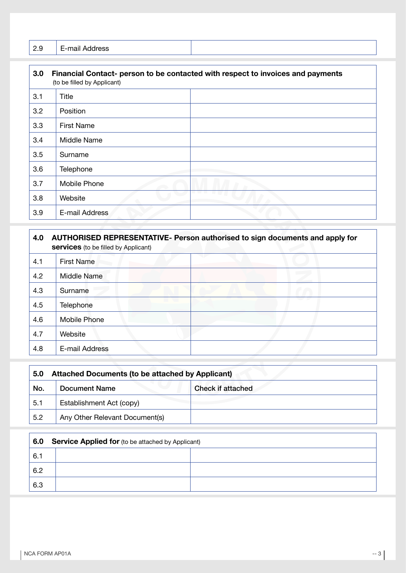| $\sim$ | -<br>م حمد<br>-<br>-<br>. |  |
|--------|---------------------------|--|
|--------|---------------------------|--|

| 3.0 | Financial Contact- person to be contacted with respect to invoices and payments<br>(to be filled by Applicant) |  |
|-----|----------------------------------------------------------------------------------------------------------------|--|
| 3.1 | Title                                                                                                          |  |
| 3.2 | Position                                                                                                       |  |
| 3.3 | <b>First Name</b>                                                                                              |  |
| 3.4 | Middle Name                                                                                                    |  |
| 3.5 | Surname                                                                                                        |  |
| 3.6 | Telephone                                                                                                      |  |
| 3.7 | Mobile Phone                                                                                                   |  |
| 3.8 | Website                                                                                                        |  |
| 3.9 | E-mail Address                                                                                                 |  |

| 4.0 | AUTHORISED REPRESENTATIVE- Person authorised to sign documents and apply for<br><b>services</b> (to be filled by Applicant) |  |
|-----|-----------------------------------------------------------------------------------------------------------------------------|--|
| 4.1 | <b>First Name</b>                                                                                                           |  |
| 4.2 | Middle Name                                                                                                                 |  |
| 4.3 | Surname                                                                                                                     |  |
| 4.5 | Telephone                                                                                                                   |  |
| 4.6 | Mobile Phone                                                                                                                |  |
| 4.7 | Website                                                                                                                     |  |
| 4.8 | E-mail Address                                                                                                              |  |

| 5.0 | <b>Attached Documents (to be attached by Applicant)</b> |                          |
|-----|---------------------------------------------------------|--------------------------|
| No. | Document Name                                           | <b>Check if attached</b> |
| 5.1 | Establishment Act (copy)                                |                          |
| 5.2 | Any Other Relevant Document(s)                          |                          |

| 6.0 | <b>Service Applied for (to be attached by Applicant)</b> |  |
|-----|----------------------------------------------------------|--|
| 6.1 |                                                          |  |
| 6.2 |                                                          |  |
| 6.3 |                                                          |  |

J.